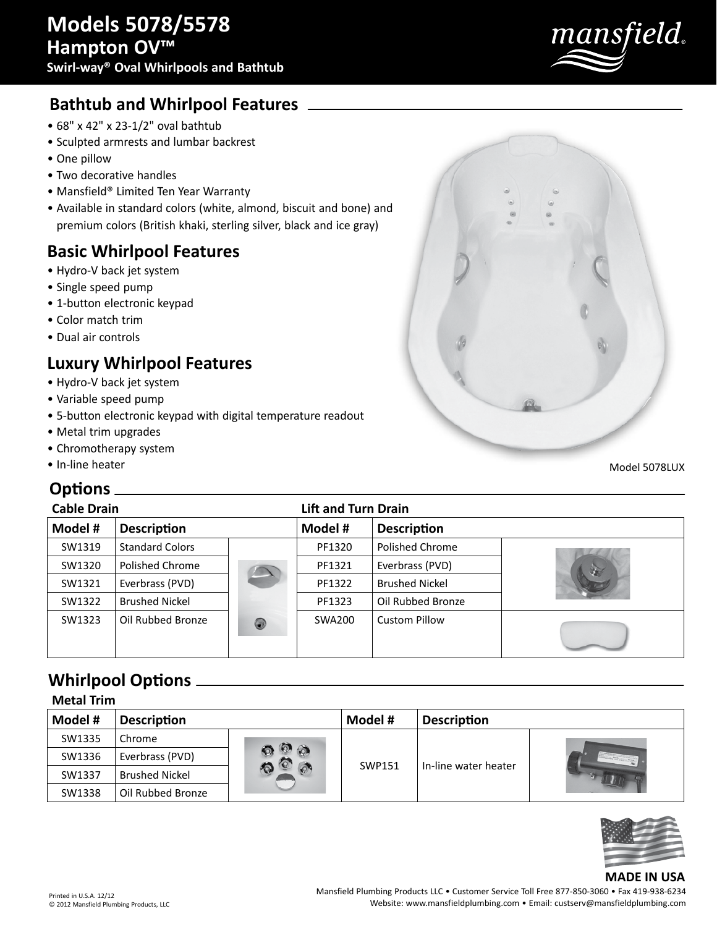

## **Bathtub and Whirlpool Features**

- 68" x 42" x 23-1/2" oval bathtub
- Sculpted armrests and lumbar backrest
- One pillow
- Two decorative handles
- Mansfield® Limited Ten Year Warranty
- Available in standard colors (white, almond, biscuit and bone) and premium colors (British khaki, sterling silver, black and ice gray)

#### **Basic Whirlpool Features**

- Hydro-V back jet system
- Single speed pump
- 1-button electronic keypad
- Color match trim
- Dual air controls

## **Luxury Whirlpool Features**

- Hydro-V back jet system
- Variable speed pump
- 5-button electronic keypad with digital temperatu
- Metal trim upgrades
- Chromotherapy system
- In-line heater

#### **Options**

| re readout        |               |  |
|-------------------|---------------|--|
|                   | Model 5078LUX |  |
| ft and Turn Drain |               |  |

| <b>Cable Drain</b>            |                        | <b>Lift and Turn Drain</b> |                    |                       |   |
|-------------------------------|------------------------|----------------------------|--------------------|-----------------------|---|
| Model #<br><b>Description</b> |                        | Model #                    | <b>Description</b> |                       |   |
| SW1319                        | <b>Standard Colors</b> |                            | PF1320             | Polished Chrome       |   |
| SW1320                        | Polished Chrome        |                            | PF1321             | Everbrass (PVD)       | 3 |
| SW1321                        | Everbrass (PVD)        |                            | PF1322             | <b>Brushed Nickel</b> |   |
| SW1322                        | <b>Brushed Nickel</b>  |                            | PF1323             | Oil Rubbed Bronze     |   |
| SW1323                        | Oil Rubbed Bronze      | 0                          | SWA200             | <b>Custom Pillow</b>  |   |

## **Whirlpool Options**

**Metal Trim**

| IVIELAI ITIITI |                       |                 |         |                      |  |  |
|----------------|-----------------------|-----------------|---------|----------------------|--|--|
| Model #        | <b>Description</b>    |                 | Model # | <b>Description</b>   |  |  |
| SW1335         | Chrome                |                 |         |                      |  |  |
| SW1336         | Everbrass (PVD)       | $\circ$ $\circ$ | SWP151  | In-line water heater |  |  |
| SW1337         | <b>Brushed Nickel</b> |                 |         |                      |  |  |
| SW1338         | Oil Rubbed Bronze     |                 |         |                      |  |  |



#### **MADE IN USA**